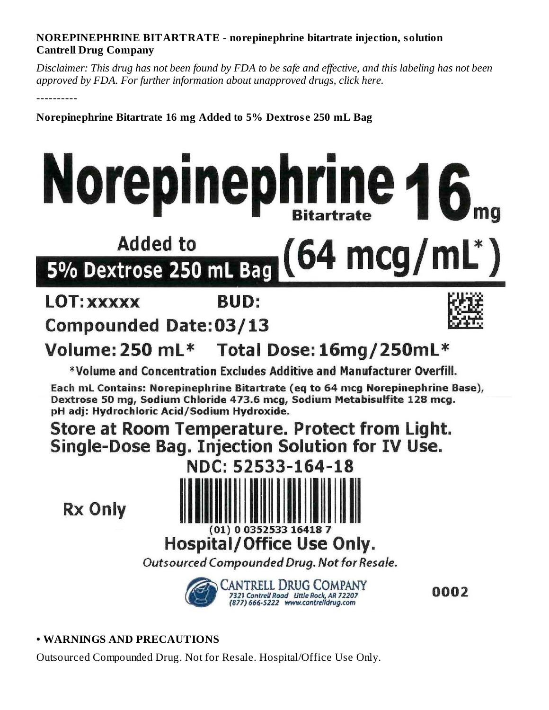### **NOREPINEPHRINE BITARTRATE - norepinephrine bitartrate injection, solution Cantrell Drug Company**

Disclaimer: This drug has not been found by FDA to be safe and effective, and this labeling has not been *approved by FDA. For further information about unapproved drugs, click here.*

----------

**Norepinephrine Bitartrate 16 mg Added to 5% Dextros e 250 mL Bag**

# Norepinephrine

#### **Added to** mca 164 5% Dextrose 250 mL Bag

## LOT: XXXXX

# **BUD:**

## Compounded Date: 03/13



Volume: 250 mL\* Total Dose: 16mg/250mL\*

\*Volume and Concentration Excludes Additive and Manufacturer Overfill.

Each mL Contains: Norepinephrine Bitartrate (eq to 64 mcg Norepinephrine Base), Dextrose 50 mg, Sodium Chloride 473.6 mcg, Sodium Metabisulfite 128 mcg. pH adj: Hydrochloric Acid/Sodium Hydroxide.

Store at Room Temperature. Protect from Light. Single-Dose Bag. Injection Solution for IV Use.

**Rx Only** 



Outsourced Compounded Drug. Not for Resale.



0002

## **• WARNINGS AND PRECAUTIONS**

Outsourced Compounded Drug. Not for Resale. Hospital/Office Use Only.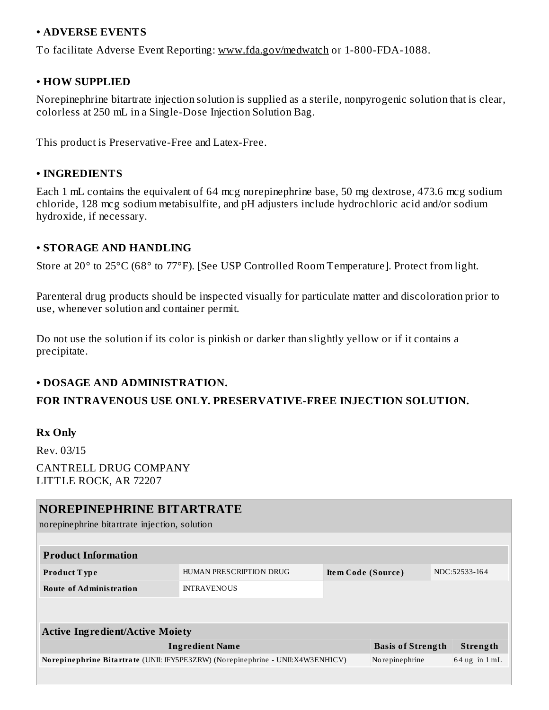#### **• ADVERSE EVENTS**

To facilitate Adverse Event Reporting: www.fda.gov/medwatch or 1-800-FDA-1088.

#### **• HOW SUPPLIED**

Norepinephrine bitartrate injection solution is supplied as a sterile, nonpyrogenic solution that is clear, colorless at 250 mL in a Single-Dose Injection Solution Bag.

This product is Preservative-Free and Latex-Free.

#### **• INGREDIENTS**

Each 1 mL contains the equivalent of 64 mcg norepinephrine base, 50 mg dextrose, 473.6 mcg sodium chloride, 128 mcg sodium metabisulfite, and pH adjusters include hydrochloric acid and/or sodium hydroxide, if necessary.

#### **• STORAGE AND HANDLING**

Store at 20° to 25°C (68° to 77°F). [See USP Controlled Room Temperature]. Protect from light.

Parenteral drug products should be inspected visually for particulate matter and discoloration prior to use, whenever solution and container permit.

Do not use the solution if its color is pinkish or darker than slightly yellow or if it contains a precipitate.

#### **• DOSAGE AND ADMINISTRATION.**

#### **FOR INTRAVENOUS USE ONLY. PRESERVATIVE-FREE INJECTION SOLUTION.**

#### **Rx Only**

Rev. 03/15

CANTRELL DRUG COMPANY LITTLE ROCK, AR 72207

| NOREPINEPHRINE BITARTRATE                                                       |                         |                    |                          |               |                   |  |  |  |  |  |
|---------------------------------------------------------------------------------|-------------------------|--------------------|--------------------------|---------------|-------------------|--|--|--|--|--|
| norepinephrine bitartrate injection, solution                                   |                         |                    |                          |               |                   |  |  |  |  |  |
|                                                                                 |                         |                    |                          |               |                   |  |  |  |  |  |
| <b>Product Information</b>                                                      |                         |                    |                          |               |                   |  |  |  |  |  |
| <b>Product Type</b>                                                             | HUMAN PRESCRIPTION DRUG | Item Code (Source) |                          | NDC:52533-164 |                   |  |  |  |  |  |
| <b>Route of Administration</b>                                                  | <b>INTRAVENOUS</b>      |                    |                          |               |                   |  |  |  |  |  |
|                                                                                 |                         |                    |                          |               |                   |  |  |  |  |  |
|                                                                                 |                         |                    |                          |               |                   |  |  |  |  |  |
| <b>Active Ingredient/Active Moiety</b>                                          |                         |                    |                          |               |                   |  |  |  |  |  |
| <b>Ingredient Name</b>                                                          |                         |                    | <b>Basis of Strength</b> |               | Strength          |  |  |  |  |  |
| Norepinephrine Bitartrate (UNII: IFY5PE3ZRW) (Norepinephrine - UNII:X4W3ENH1CV) |                         |                    | No repinephrine          |               | $64$ ug in $1$ mL |  |  |  |  |  |
|                                                                                 |                         |                    |                          |               |                   |  |  |  |  |  |